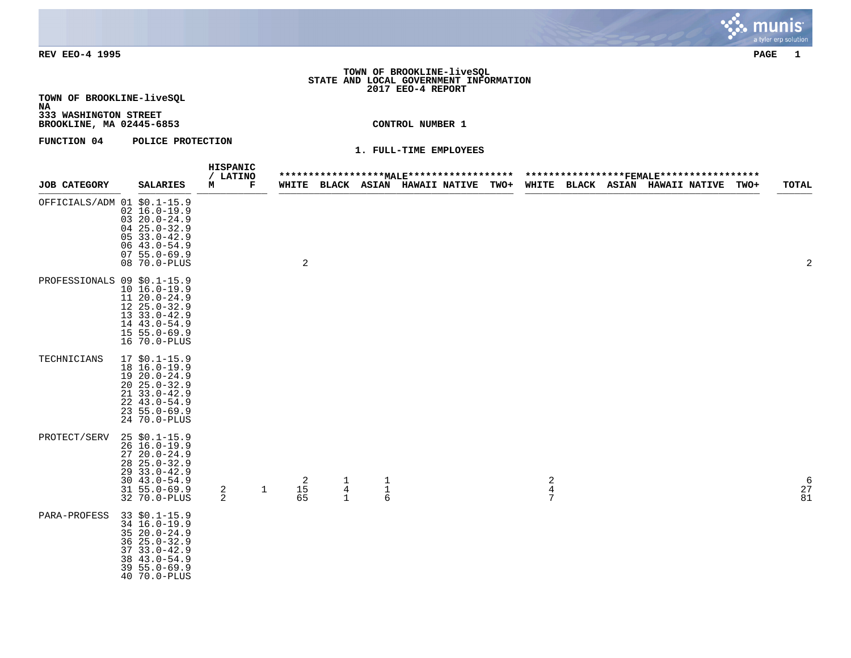

### **TOWN OF BROOKLINE-liveSQL STATE AND LOCAL GOVERNMENT INFORMATION 2017 EEO-4 REPORT**

**TOWN OF BROOKLINE-liveSQL NA**

**333 WASHINGTON STREET BROOKLINE, MA 02445-6853 CONTROL NUMBER 1**

**FUNCTION 04 POLICE PROTECTION** 

| <b>JOB CATEGORY</b>         | <b>SALARIES</b>                                                                                                                                   | HISPANIC<br>/ LATINO<br>м | Г            | WHITE                |                          |                                            | ****************** <u>MALE</u> ***********************************FEMALE*****************<br>BLACK ASIAN HAWAII_NATIVE | <b>TWO+</b> |                                              |  | WHITE BLACK ASIAN HAWAII NATIVE | TWO+ | TOTAL                                                   |
|-----------------------------|---------------------------------------------------------------------------------------------------------------------------------------------------|---------------------------|--------------|----------------------|--------------------------|--------------------------------------------|------------------------------------------------------------------------------------------------------------------------|-------------|----------------------------------------------|--|---------------------------------|------|---------------------------------------------------------|
| OFFICIALS/ADM 01 \$0.1-15.9 | $02 16.0 - 19.9$<br>$0320.0 - 24.9$<br>$0425.0 - 32.9$<br>$0533.0 - 42.9$<br>$0643.0 - 54.9$<br>$0755.0 - 69.9$<br>08 70.0-PLUS                   |                           |              | 2                    |                          |                                            |                                                                                                                        |             |                                              |  |                                 |      | 2                                                       |
| PROFESSIONALS 09 \$0.1-15.9 | $10 16.0 - 19.9$<br>11 20.0-24.9<br>$1225.0 - 32.9$<br>$1333.0 - 42.9$<br>14 43.0-54.9<br>$15 55.0 - 69.9$<br>16 70.0-PLUS                        |                           |              |                      |                          |                                            |                                                                                                                        |             |                                              |  |                                 |      |                                                         |
| TECHNICIANS                 | $17$ \$0.1-15.9<br>18 16.0-19.9<br>19 20.0-24.9<br>$20, 25.0 - 32.9$<br>$2133.0 - 42.9$<br>$22, 43.0 - 54.9$<br>$23, 55.0 - 69.9$<br>24 70.0-PLUS |                           |              |                      |                          |                                            |                                                                                                                        |             |                                              |  |                                 |      |                                                         |
| PROTECT/SERV                | $25$ \$0.1-15.9<br>26 16.0-19.9<br>$2720.0 - 24.9$<br>$28$ $25.0 - 32.9$<br>29 33.0-42.9<br>$30, 43.0 - 54.9$<br>$31 55.0 - 69.9$<br>32 70.0-PLUS | 2<br>$\overline{a}$       | $\mathbf{1}$ | 2<br>$\frac{15}{65}$ | $\mathbf{1}$<br>$^4_{1}$ | $\begin{array}{c} 1 \\ 1 \\ 6 \end{array}$ |                                                                                                                        |             | $\overline{c}$<br>$\bf 4$<br>$7\phantom{.0}$ |  |                                 |      | $\begin{smallmatrix} &6\\2\,7\,\\8\,1\end{smallmatrix}$ |
| <b>PARA-PROFESS</b>         | 33 \$0.1-15.9<br>34 16.0-19.9<br>$3520.0 - 24.9$<br>$36 \t25.0 - 32.9$<br>$3733.0 - 42.9$<br>$3843.0 - 54.9$<br>$395.0 - 69.9$<br>40 70.0-PLUS    |                           |              |                      |                          |                                            |                                                                                                                        |             |                                              |  |                                 |      |                                                         |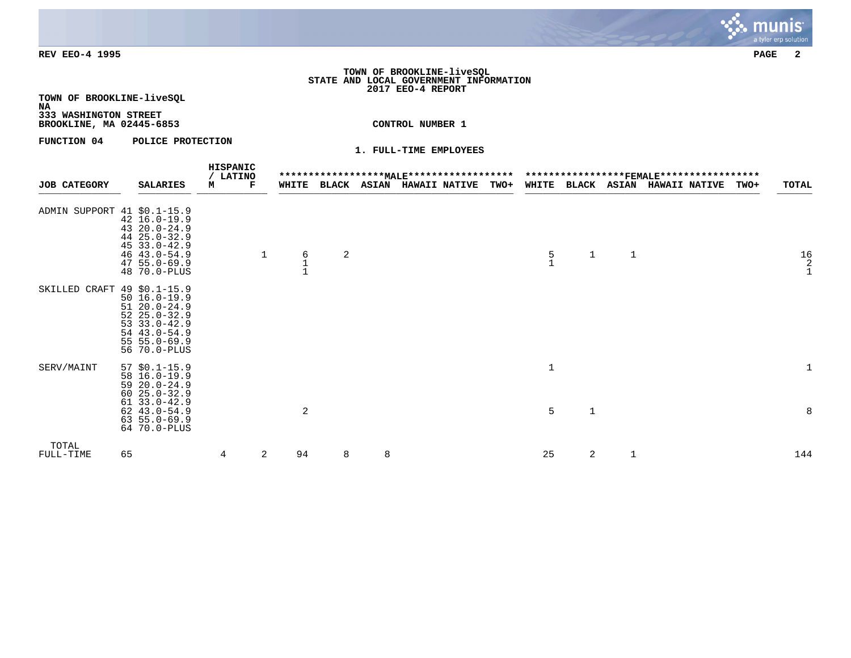### **TOWN OF BROOKLINE-liveSQL STATE AND LOCAL GOVERNMENT INFORMATION 2017 EEO-4 REPORT**

**TOWN OF BROOKLINE-liveSQL NA**

# **333 WASHINGTON STREET**

**BROOKLINE, MA 02445-6853 CONTROL NUMBER 1**

**FUNCTION 04 POLICE PROTECTION** 

| <b>JOB CATEGORY</b>         |    | <b>SALARIES</b>                                                                                                                  | HISPANIC<br>/ LATINO<br>м | F            | WHITE |   |   | BLACK ASIAN HAWAII NATIVE | <b>TWO+</b> | <b>WHITE</b>                          |             | <b>BLACK ASIAN</b> | ******************FEMALE******************<br><b>HAWAII NATIVE</b> | TWO+ | TOTAL                          |
|-----------------------------|----|----------------------------------------------------------------------------------------------------------------------------------|---------------------------|--------------|-------|---|---|---------------------------|-------------|---------------------------------------|-------------|--------------------|--------------------------------------------------------------------|------|--------------------------------|
|                             |    |                                                                                                                                  |                           |              |       |   |   |                           |             |                                       |             |                    |                                                                    |      |                                |
| ADMIN SUPPORT 41 \$0.1-15.9 |    | $42 16.0 - 19.9$<br>43 20.0-24.9<br>44 25.0-32.9<br>$4533.0 - 42.9$<br>46 43.0-54.9<br>$4755.0 - 69.9$<br>48 70.0-PLUS           |                           | $\mathbf{1}$ | 6     | 2 |   |                           |             | $\begin{array}{c} 5 \\ 1 \end{array}$ | 1           | $\mathbf{1}$       |                                                                    |      | $\frac{16}{2}$<br>$\mathbf{1}$ |
| SKILLED CRAFT 49 \$0.1-15.9 |    | $50 16.0 - 19.9$<br>$5120.0 - 24.9$<br>$5225.0 - 32.9$<br>$53$ $33.0 - 42.9$<br>54 43.0-54.9<br>$55 55.0 - 69.9$<br>56 70.0-PLUS |                           |              |       |   |   |                           |             |                                       |             |                    |                                                                    |      |                                |
| SERV/MAINT                  |    | $57$ \$0.1-15.9<br>58 16.0-19.9<br>$5920.0 - 24.9$<br>$6025.0 - 32.9$                                                            |                           |              |       |   |   |                           |             | $\mathbf 1$                           |             |                    |                                                                    |      |                                |
|                             |    | $6133.0 - 42.9$<br>$62$ $43.0 - 54.9$<br>$63, 55.0 - 69.9$<br>64 70.0-PLUS                                                       |                           |              | 2     |   |   |                           |             | 5                                     | $\mathbf 1$ |                    |                                                                    |      | 8                              |
| TOTAL<br>FULL-TIME          | 65 |                                                                                                                                  | 4                         | 2            | 94    | 8 | 8 |                           |             | 25                                    | 2           | 1                  |                                                                    |      | 144                            |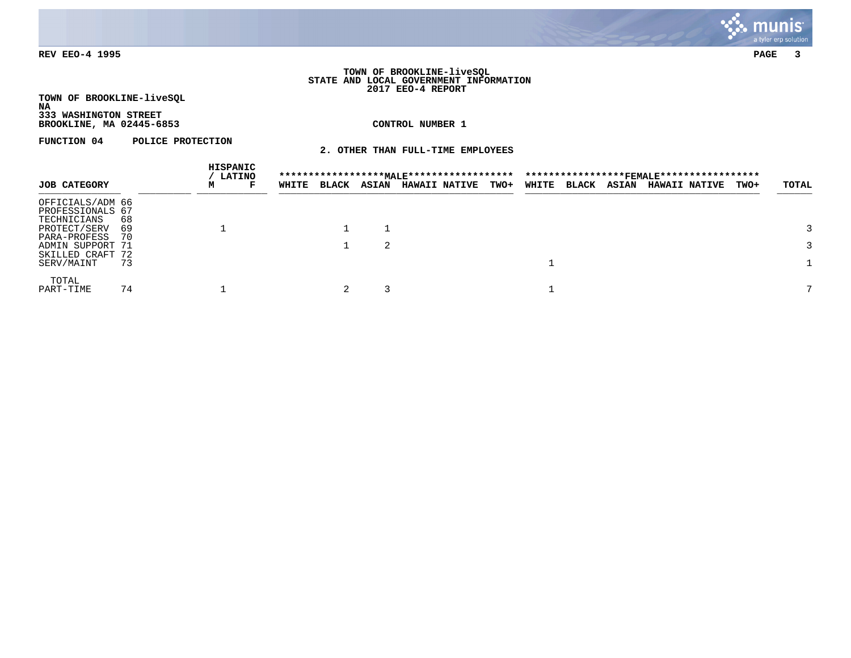

#### **TOWN OF BROOKLINE-liveSQL STATE AND LOCAL GOVERNMENT INFORMATION 2017 EEO-4 REPORT**

**TOWN OF BROOKLINE-liveSQL NA 333 WASHINGTON STREET**

**BROOKLINE, MA 02445-6853 CONTROL NUMBER 1**

**FUNCTION 04 POLICE PROTECTION** 

**2. OTHER THAN FULL-TIME EMPLOYEES**

|                                                     |           |   | HISPANIC<br><b>LATINO</b> |       |              |              |                      |             |       |              |              |                      |      |       |
|-----------------------------------------------------|-----------|---|---------------------------|-------|--------------|--------------|----------------------|-------------|-------|--------------|--------------|----------------------|------|-------|
| <b>JOB CATEGORY</b>                                 |           | м | F                         | WHITE | <b>BLACK</b> | <b>ASIAN</b> | <b>HAWAII NATIVE</b> | <b>TWO+</b> | WHITE | <b>BLACK</b> | <b>ASIAN</b> | <b>HAWAII NATIVE</b> | TWO+ | TOTAL |
| OFFICIALS/ADM 66<br>PROFESSIONALS 67<br>TECHNICIANS | 68        |   |                           |       |              |              |                      |             |       |              |              |                      |      |       |
| PROTECT/SERV<br>PARA-PROFESS                        | 69<br>-70 |   |                           |       |              |              |                      |             |       |              |              |                      |      |       |
| ADMIN SUPPORT 71<br>SKILLED CRAFT 72                |           |   |                           |       |              | 2            |                      |             |       |              |              |                      |      |       |
| SERV/MAINT                                          | 73        |   |                           |       |              |              |                      |             |       |              |              |                      |      |       |
| TOTAL<br>PART-TIME                                  | 74        |   |                           |       |              |              |                      |             |       |              |              |                      |      |       |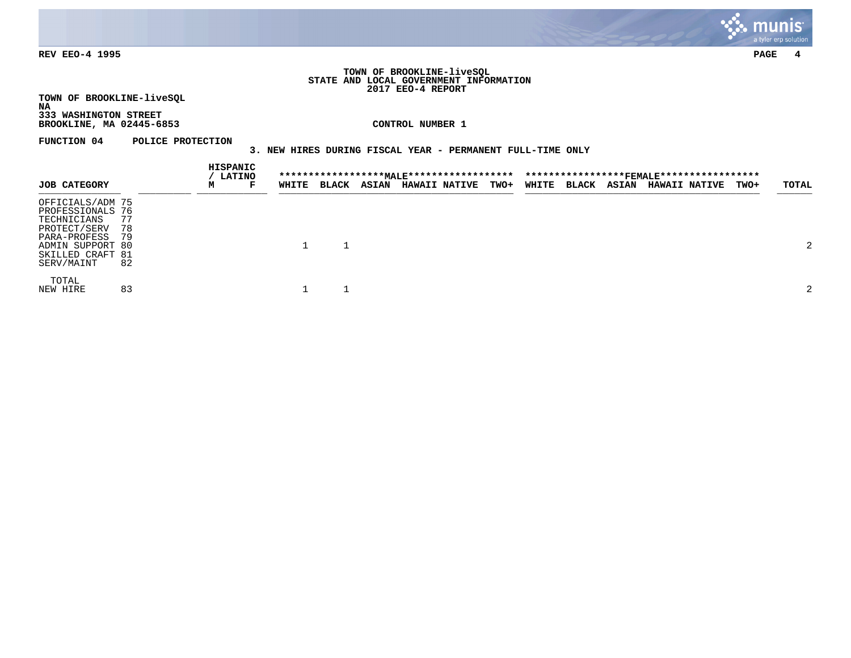

#### **TOWN OF BROOKLINE-liveSQL STATE AND LOCAL GOVERNMENT INFORMATION 2017 EEO-4 REPORT**

**TOWN OF BROOKLINE-liveSQL NA**

**333 WASHINGTON STREET BROOKLINE, MA 02445-6853 CONTROL NUMBER 1**

**FUNCTION 04 POLICE PROTECTION** 

# **3. NEW HIRES DURING FISCAL YEAR - PERMANENT FULL-TIME ONLY**

|                                                                                                                                           |                      | HISPANIC | <b>LATINO</b> |       |              |              |                      |             |              |                    |                      |             |       |
|-------------------------------------------------------------------------------------------------------------------------------------------|----------------------|----------|---------------|-------|--------------|--------------|----------------------|-------------|--------------|--------------------|----------------------|-------------|-------|
| <b>JOB CATEGORY</b>                                                                                                                       |                      | м        | F             | WHITE | <b>BLACK</b> | <b>ASIAN</b> | <b>HAWAII NATIVE</b> | <b>TWO+</b> | <b>WHITE</b> | <b>BLACK ASIAN</b> | <b>HAWAII NATIVE</b> | <b>TWO+</b> | TOTAL |
| OFFICIALS/ADM 75<br>PROFESSIONALS 76<br>TECHNICIANS<br>PROTECT/SERV<br>PARA-PROFESS<br>ADMIN SUPPORT 80<br>SKILLED CRAFT 81<br>SERV/MAINT | 77<br>78<br>79<br>82 |          |               |       |              |              |                      |             |              |                    |                      |             | 2     |
| TOTAL<br>NEW HIRE                                                                                                                         | 83                   |          |               |       |              |              |                      |             |              |                    |                      |             | 2     |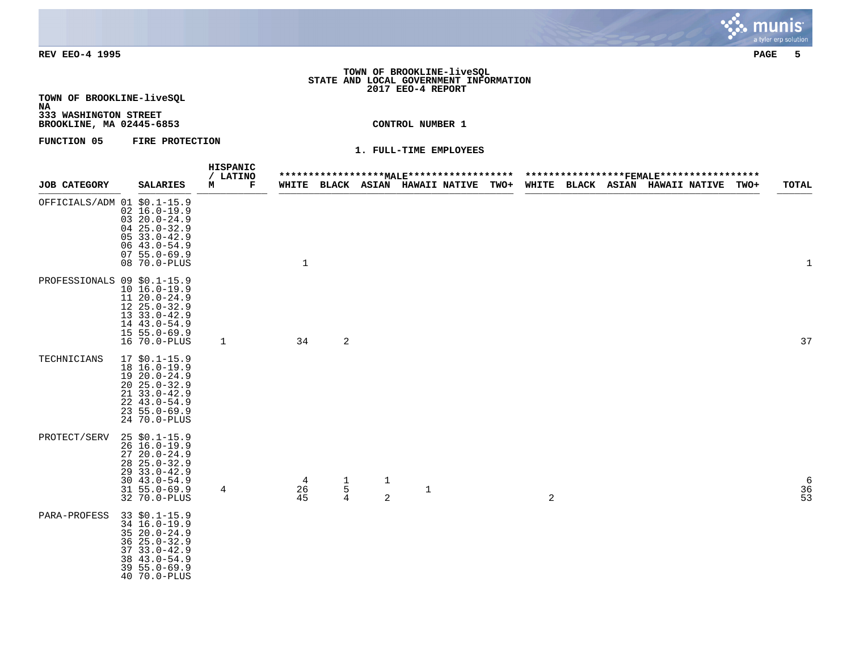#### **TOWN OF BROOKLINE-liveSQL STATE AND LOCAL GOVERNMENT INFORMATION 2017 EEO-4 REPORT**

**TOWN OF BROOKLINE-liveSQL NA**

**333 WASHINGTON STREET BROOKLINE, MA 02445-6853 CONTROL NUMBER 1**

**FUNCTION 05 FIRE PROTECTION** 

|                             |                                                                                                                                                        | HISPANIC<br>/ LATINO |               |                                            |        |              |                                 |             |   |  |                                 |      |                |
|-----------------------------|--------------------------------------------------------------------------------------------------------------------------------------------------------|----------------------|---------------|--------------------------------------------|--------|--------------|---------------------------------|-------------|---|--|---------------------------------|------|----------------|
| <b>JOB CATEGORY</b>         | <b>SALARIES</b>                                                                                                                                        | м<br>Г               |               |                                            |        |              | WHITE BLACK ASIAN HAWAII NATIVE | <b>TWO+</b> |   |  | WHITE BLACK ASIAN HAWAII_NATIVE | TWO+ | TOTAL          |
| OFFICIALS/ADM 01 \$0.1-15.9 | $02 \ 16.0 - 19.9$<br>$0320.0 - 24.9$<br>$0425.0 - 32.9$<br>$0533.0 - 42.9$<br>$0643.0 - 54.9$<br>$0755.0 - 69.9$<br>08 70.0-PLUS                      |                      | $\mathbf{1}$  |                                            |        |              |                                 |             |   |  |                                 |      | 1              |
| PROFESSIONALS 09 \$0.1-15.9 | $10 16.0 - 19.9$<br>$1120.0 - 24.9$<br>$1225.0 - 32.9$<br>$1333.0 - 42.9$<br>14 43.0-54.9<br>$15 55.0 - 69.9$<br>16 70.0-PLUS                          | 1                    | 34            | $\overline{2}$                             |        |              |                                 |             |   |  |                                 |      | 37             |
| TECHNICIANS                 | $17$ \$0.1-15.9<br>18 16.0-19.9<br>$1920.0 - 24.9$<br>$20, 25.0 - 32.9$<br>$21, 33.0 - 42.9$<br>$22, 43.0 - 54.9$<br>$235.0 - 69.9$<br>24 70.0-PLUS    |                      |               |                                            |        |              |                                 |             |   |  |                                 |      |                |
| PROTECT/SERV                | $25$ \$0.1-15.9<br>$26 \t16.0 - 19.9$<br>$2720.0 - 24.9$<br>$28$ $25.0 - 32.9$<br>29 33.0-42.9<br>$3043.0 - 54.9$<br>$31, 55.0 - 69.9$<br>32 70.0-PLUS | 4                    | 4<br>26<br>45 | $\begin{array}{c} 1 \\ 5 \\ 4 \end{array}$ | 1<br>2 | $\mathbf{1}$ |                                 |             | 2 |  |                                 |      | $\frac{6}{36}$ |
| PARA-PROFESS                | 33 \$0.1-15.9<br>34 16.0-19.9<br>$3520.0 - 24.9$<br>$3625.0 - 32.9$<br>$3733.0 - 42.9$<br>38 43.0-54.9<br>$395.0 - 69.9$<br>40 70.0-PLUS               |                      |               |                                            |        |              |                                 |             |   |  |                                 |      |                |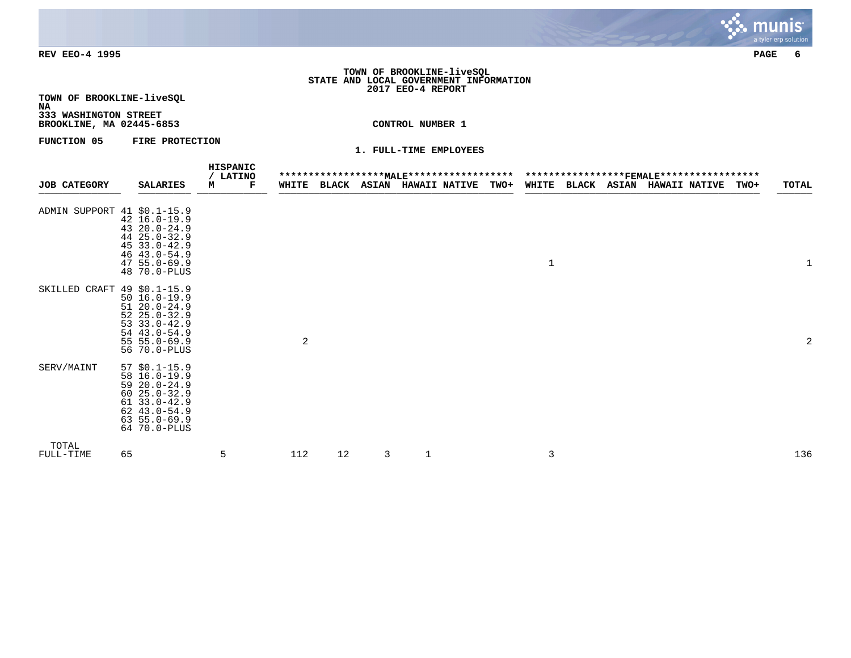### **TOWN OF BROOKLINE-liveSQL STATE AND LOCAL GOVERNMENT INFORMATION 2017 EEO-4 REPORT**

**TOWN OF BROOKLINE-liveSQL NA**

**333 WASHINGTON STREET BROOKLINE, MA 02445-6853 CONTROL NUMBER 1**

**FUNCTION 05 FIRE PROTECTION** 

|                             |                                                                                                                                                   | HISPANIC<br>/ LATINO |       |    |   |                                  |             |              |                   |                      |      |       |
|-----------------------------|---------------------------------------------------------------------------------------------------------------------------------------------------|----------------------|-------|----|---|----------------------------------|-------------|--------------|-------------------|----------------------|------|-------|
| <b>JOB CATEGORY</b>         | <b>SALARIES</b>                                                                                                                                   | M<br>Г               | WHITE |    |   | <b>BLACK ASIAN HAWAII NATIVE</b> | <b>TWO+</b> |              | WHITE BLACK ASIAN | <b>HAWAII NATIVE</b> | TWO+ | TOTAL |
| ADMIN SUPPORT 41 \$0.1-15.9 | 42 16.0-19.9<br>43 20.0-24.9<br>44 25.0-32.9<br>$4533.0 - 42.9$<br>46 43.0-54.9<br>$475.0 - 69.9$<br>48 70.0-PLUS                                 |                      |       |    |   |                                  |             | $\mathbf{1}$ |                   |                      |      |       |
| SKILLED CRAFT 49 \$0.1-15.9 | $50 16.0 - 19.9$<br>$5120.0 - 24.9$<br>$5225.0 - 32.9$<br>$53 \t33.0 - 42.9$<br>54 43.0-54.9<br>$55 55.0 - 69.9$<br>56 70.0-PLUS                  |                      | 2     |    |   |                                  |             |              |                   |                      |      | 2     |
| SERV/MAINT                  | $57$ $$0.1-15.9$<br>58 16.0-19.9<br>$5920.0 - 24.9$<br>$6025.0 - 32.9$<br>$6133.0 - 42.9$<br>$62$ $43.0 - 54.9$<br>$635.0 - 69.9$<br>64 70.0-PLUS |                      |       |    |   |                                  |             |              |                   |                      |      |       |
| TOTAL<br>FULL-TIME          | 65                                                                                                                                                | 5                    | 112   | 12 | 3 | $\mathbf 1$                      |             | 3            |                   |                      |      | 136   |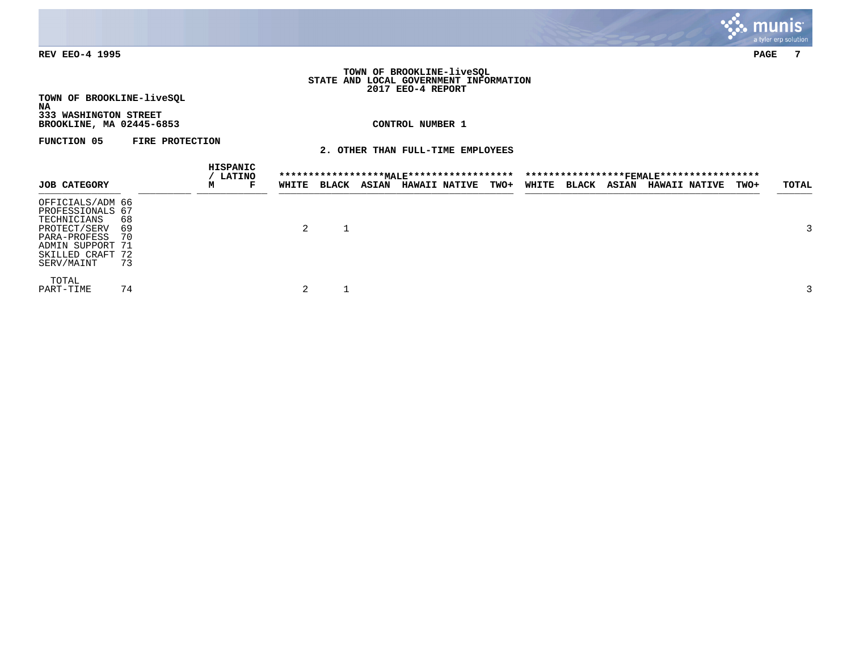

### **TOWN OF BROOKLINE-liveSQL STATE AND LOCAL GOVERNMENT INFORMATION 2017 EEO-4 REPORT**

**TOWN OF BROOKLINE-liveSQL NA 333 WASHINGTON STREET**

**BROOKLINE, MA 02445-6853 CONTROL NUMBER 1**

**FUNCTION 05 FIRE PROTECTION** 

**2. OTHER THAN FULL-TIME EMPLOYEES**

|                                                                                                                                           |                      | HISPANIC | <b>LATINO</b> |       |              |              |                      |             |       |              |              |                      |             |       |
|-------------------------------------------------------------------------------------------------------------------------------------------|----------------------|----------|---------------|-------|--------------|--------------|----------------------|-------------|-------|--------------|--------------|----------------------|-------------|-------|
| <b>JOB CATEGORY</b>                                                                                                                       |                      | м        | г             | WHITE | <b>BLACK</b> | <b>ASIAN</b> | <b>HAWAII NATIVE</b> | <b>TWO+</b> | WHITE | <b>BLACK</b> | <b>ASIAN</b> | <b>HAWAII NATIVE</b> | <b>TWO+</b> | TOTAL |
| OFFICIALS/ADM 66<br>PROFESSIONALS 67<br>TECHNICIANS<br>PROTECT/SERV<br>PARA-PROFESS<br>ADMIN SUPPORT 71<br>SKILLED CRAFT 72<br>SERV/MAINT | 68<br>69<br>70<br>73 |          |               | 2     |              |              |                      |             |       |              |              |                      |             |       |
| TOTAL<br>PART-TIME                                                                                                                        | 74                   |          |               |       |              |              |                      |             |       |              |              |                      |             |       |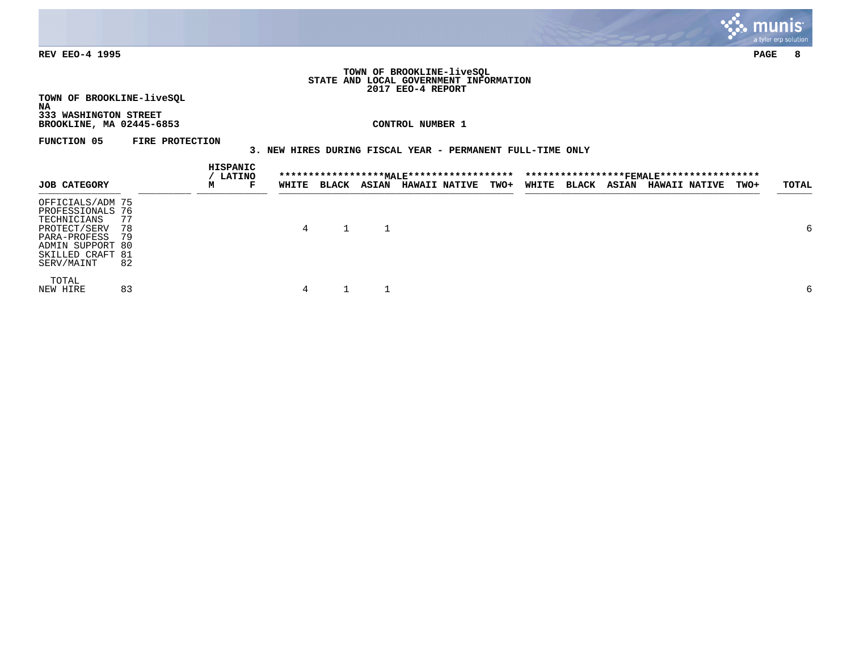

#### **TOWN OF BROOKLINE-liveSQL STATE AND LOCAL GOVERNMENT INFORMATION 2017 EEO-4 REPORT**

**TOWN OF BROOKLINE-liveSQL NA**

**333 WASHINGTON STREET BROOKLINE, MA 02445-6853 CONTROL NUMBER 1**

**FUNCTION 05 FIRE PROTECTION** 

# **3. NEW HIRES DURING FISCAL YEAR - PERMANENT FULL-TIME ONLY**

|                     |    | HISPANIC<br><b>LATINO</b> |   |       |              |              |                      |             |       |              |       |                      |      |       |
|---------------------|----|---------------------------|---|-------|--------------|--------------|----------------------|-------------|-------|--------------|-------|----------------------|------|-------|
| <b>JOB CATEGORY</b> |    | м                         | г | WHITE | <b>BLACK</b> | <b>ASIAN</b> | <b>HAWAII NATIVE</b> | <b>TWO+</b> | WHITE | <b>BLACK</b> | ASIAN | <b>HAWAII NATIVE</b> | TWO+ | TOTAL |
| OFFICIALS/ADM 75    |    |                           |   |       |              |              |                      |             |       |              |       |                      |      |       |
| PROFESSIONALS 76    |    |                           |   |       |              |              |                      |             |       |              |       |                      |      |       |
| TECHNICIANS         | 77 |                           |   |       |              |              |                      |             |       |              |       |                      |      |       |
| PROTECT/SERV        | 78 |                           |   | 4     |              |              |                      |             |       |              |       |                      |      | 6     |
| PARA-PROFESS        | 79 |                           |   |       |              |              |                      |             |       |              |       |                      |      |       |
| ADMIN SUPPORT 80    |    |                           |   |       |              |              |                      |             |       |              |       |                      |      |       |
| SKILLED CRAFT 81    |    |                           |   |       |              |              |                      |             |       |              |       |                      |      |       |
| SERV/MAINT          | 82 |                           |   |       |              |              |                      |             |       |              |       |                      |      |       |
| TOTAL               |    |                           |   |       |              |              |                      |             |       |              |       |                      |      |       |
| NEW HIRE            | 83 |                           |   | 4     |              |              |                      |             |       |              |       |                      |      | 6     |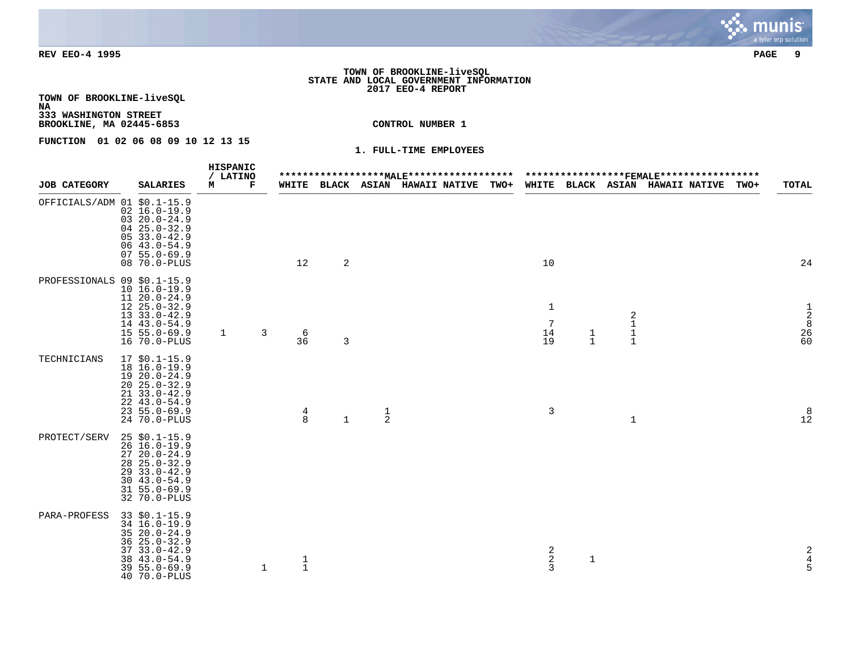### **TOWN OF BROOKLINE-liveSQL STATE AND LOCAL GOVERNMENT INFORMATION 2017 EEO-4 REPORT**

**TOWN OF BROOKLINE-liveSQL NA**

**333 WASHINGTON STREET BROOKLINE, MA 02445-6853 CONTROL NUMBER 1**

**FUNCTION 01 02 06 08 09 10 12 13 15** 

|                             |                                                                                                                                                          |   | HISPANIC |   |   |                                        |              |               |                                      |                                                                          |               |                                   |                                 |      |                                              |
|-----------------------------|----------------------------------------------------------------------------------------------------------------------------------------------------------|---|----------|---|---|----------------------------------------|--------------|---------------|--------------------------------------|--------------------------------------------------------------------------|---------------|-----------------------------------|---------------------------------|------|----------------------------------------------|
| <b>JOB CATEGORY</b>         | <b>SALARIES</b>                                                                                                                                          | м | / LATINO | г |   |                                        |              |               | WHITE BLACK ASIAN HAWAII NATIVE TWO+ |                                                                          |               |                                   | WHITE BLACK ASIAN HAWAII_NATIVE | TWO+ | <b>TOTAL</b>                                 |
| OFFICIALS/ADM 01 \$0.1-15.9 | $02 16.0 - 19.9$<br>$0320.0 - 24.9$<br>$0425.0 - 32.9$<br>$0533.0 - 42.9$<br>$0643.0 - 54.9$<br>$0755.0 - 69.9$<br>08 70.0-PLUS                          |   |          |   |   | 12                                     | 2            |               |                                      | 10                                                                       |               |                                   |                                 |      | 24                                           |
| PROFESSIONALS 09 \$0.1-15.9 | $10 16.0 - 19.9$<br>$11 20.0 - 24.9$<br>$1225.0 - 32.9$<br>$1333.0 - 42.9$<br>14 43.0-54.9<br>$15 55.0 - 69.9$<br>16 70.0-PLUS                           |   | 1        |   | 3 | $\begin{array}{c} 6 \\ 36 \end{array}$ | 3            |               |                                      | $\mathbf 1$<br>$\overline{7}$<br>$\begin{array}{c} 14 \\ 19 \end{array}$ | $\frac{1}{1}$ | 2<br>$\mathbf 1$<br>$\frac{1}{1}$ |                                 |      | $\frac{1}{2}$<br>$28$<br>$60$                |
| TECHNICIANS                 | $17$ \$0.1-15.9<br>$18 \; 16.0 - 19.9$<br>19 20.0-24.9<br>$20, 25.0 - 32.9$<br>21 33.0-42.9<br>$22, 43.0 - 54.9$<br>$235.0 - 69.9$<br>24 70.0-PLUS       |   |          |   |   | $\frac{4}{8}$                          | $\mathbf{1}$ | $\frac{1}{2}$ |                                      | $\mathsf{3}$                                                             |               | $\mathbf{1}$                      |                                 |      | $\begin{array}{c} 8 \\ 12 \end{array}$       |
| PROTECT/SERV                | $25$ \$0.1-15.9<br>$26$ $16.0 - 19.9$<br>$2720.0 - 24.9$<br>$28$ $25.0 - 32.9$<br>$2933.0 - 42.9$<br>$3043.0 - 54.9$<br>$31 55.0 - 69.9$<br>32 70.0-PLUS |   |          |   |   |                                        |              |               |                                      |                                                                          |               |                                   |                                 |      |                                              |
| <b>PARA-PROFESS</b>         | $33$ $$0.1-15.9$<br>34 16.0-19.9<br>35 20.0-24.9<br>$3625.0 - 32.9$<br>$37$ $33.0 - 42.9$<br>38 43.0-54.9<br>$395.0 - 69.9$<br>40 70.0-PLUS              |   |          |   | 1 | $\frac{1}{1}$                          |              |               |                                      | $\begin{array}{c} 2 \\ 2 \\ 3 \end{array}$                               | $\mathbf{1}$  |                                   |                                 |      | $\begin{array}{c}\n2 \\ 4 \\ 5\n\end{array}$ |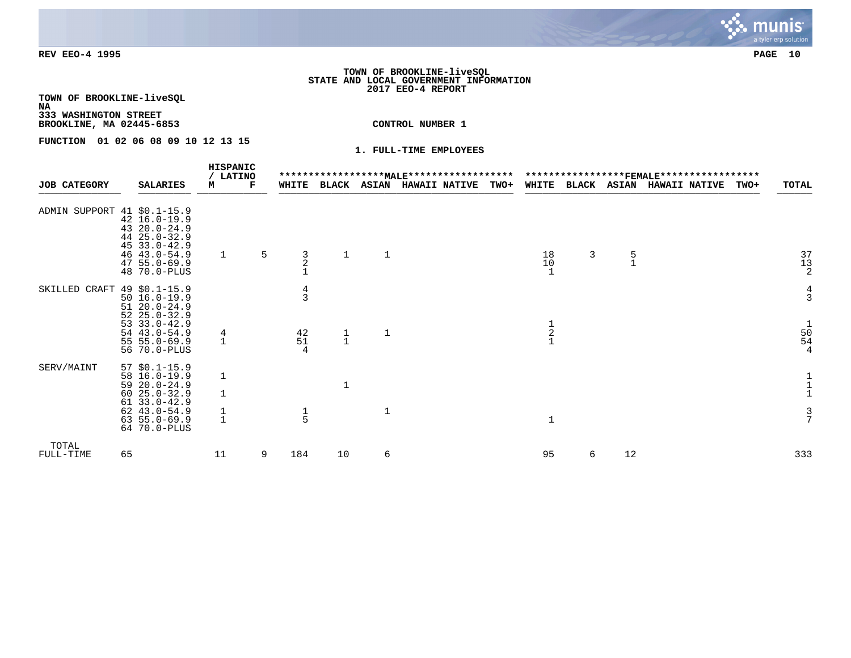### **TOWN OF BROOKLINE-liveSQL STATE AND LOCAL GOVERNMENT INFORMATION 2017 EEO-4 REPORT**

**TOWN OF BROOKLINE-liveSQL**

**NA 333 WASHINGTON STREET**

**BROOKLINE, MA 02445-6853 CONTROL NUMBER 1**

**FUNCTION 01 02 06 08 09 10 12 13 15** 

|                             |    |                                                                                                                                                     |                   | <b>HISPANIC</b><br><b>LATINO</b> |   |                                                                   |               |              | ****************** <u>MALE</u> ****************** |             |               |              |    | ******************FEMALE****************** |      |                                                                   |
|-----------------------------|----|-----------------------------------------------------------------------------------------------------------------------------------------------------|-------------------|----------------------------------|---|-------------------------------------------------------------------|---------------|--------------|---------------------------------------------------|-------------|---------------|--------------|----|--------------------------------------------|------|-------------------------------------------------------------------|
| <b>JOB CATEGORY</b>         |    | <b>SALARIES</b>                                                                                                                                     | М                 | F                                |   | WHITE                                                             | BLACK         | <b>ASIAN</b> | <b>HAWAII NATIVE</b>                              | <b>TWO+</b> | WHITE         | <b>BLACK</b> |    | <b>ASIAN HAWAII NATIVE</b>                 | TWO+ | TOTAL                                                             |
| ADMIN SUPPORT 41 \$0.1-15.9 |    | $42 \ 16.0 - 19.9$<br>43 20.0-24.9<br>44 25.0-32.9<br>$4533.0 - 42.9$<br>$46$ $43.0 - 54.9$<br>$4755.0 - 69.9$<br>48 70.0-PLUS                      | $\mathbf{1}$      |                                  | 5 | $\frac{3}{2}$                                                     |               | 1            |                                                   |             | 18<br>10      | $\mathbf{3}$ | 5  |                                            |      | $\begin{array}{c} 37 \\ 13 \\ 2 \end{array}$                      |
| SKILLED CRAFT 49 \$0.1-15.9 |    | $50 16.0 - 19.9$<br>$5120.0 - 24.9$<br>$5225.0 - 32.9$<br>$53 \t33.0 - 42.9$<br>54 43.0-54.9<br>$55 55.0 - 69.9$<br>56 70.0-PLUS                    | 4<br>$\mathbf{1}$ |                                  |   | $\frac{4}{3}$<br>$\begin{array}{c} 4\,2 \\ 5\,1 \end{array}$<br>4 | $\frac{1}{1}$ | $\mathbf{1}$ |                                                   |             | $\frac{1}{2}$ |              |    |                                            |      | $rac{4}{3}$<br>$\mathbf{1}$<br>$\frac{50}{54}$<br>4               |
| SERV/MAINT                  |    | $57$ \$0.1-15.9<br>58 16.0-19.9<br>$5920.0 - 24.9$<br>$6025.0 - 32.9$<br>$6133.0 - 42.9$<br>$62$ $43.0 - 54.9$<br>$63, 55.0 - 69.9$<br>64 70.0-PLUS | 1<br>$\mathbf{1}$ |                                  |   | $\frac{1}{5}$                                                     |               | $\mathbf 1$  |                                                   |             | $\mathbf{1}$  |              |    |                                            |      | $\begin{smallmatrix}1\\1\\1\\1\end{smallmatrix}$<br>$\frac{3}{7}$ |
| TOTAL<br>FULL-TIME          | 65 |                                                                                                                                                     | 11                |                                  | 9 | 184                                                               | 10            | 6            |                                                   |             | 95            | 6            | 12 |                                            |      | 333                                                               |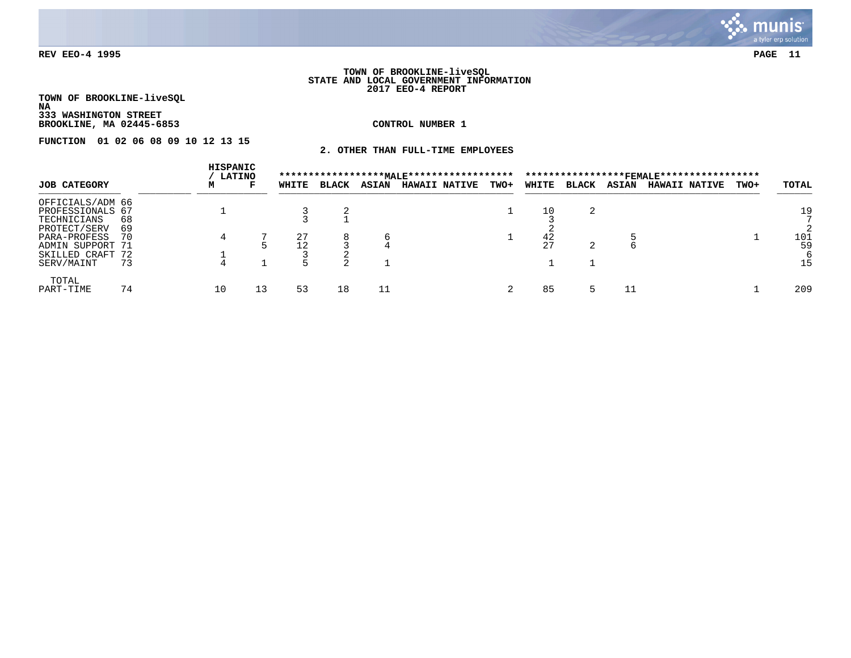

#### **TOWN OF BROOKLINE-liveSQL STATE AND LOCAL GOVERNMENT INFORMATION 2017 EEO-4 REPORT**

**TOWN OF BROOKLINE-liveSQL NA 333 WASHINGTON STREET**

**BROOKLINE, MA 02445-6853 CONTROL NUMBER 1**

**FUNCTION 01 02 06 08 09 10 12 13 15** 

**2. OTHER THAN FULL-TIME EMPLOYEES**

|                     |     | HISPANIC<br><b>LATINO</b> |    |       |              |              | ****************** <u>MALE</u> ****************** |      |        |              |              | ***************** <b>FEMAI.E</b> ****************** |      |       |
|---------------------|-----|---------------------------|----|-------|--------------|--------------|---------------------------------------------------|------|--------|--------------|--------------|-----------------------------------------------------|------|-------|
| <b>JOB CATEGORY</b> |     | м                         | г  | WHITE | <b>BLACK</b> | <b>ASIAN</b> | <b>HAWAII NATIVE</b>                              | TWO+ | WHITE  | <b>BLACK</b> | <b>ASIAN</b> | <b>HAWAII NATIVE</b>                                | TWO+ | TOTAL |
| OFFICIALS/ADM 66    |     |                           |    |       |              |              |                                                   |      |        |              |              |                                                     |      |       |
| PROFESSIONALS 67    |     |                           |    |       |              |              |                                                   |      | 10     |              |              |                                                     |      | 19    |
| TECHNICIANS         | 68  |                           |    |       |              |              |                                                   |      |        |              |              |                                                     |      |       |
| PROTECT/SERV        | 69  |                           |    |       |              |              |                                                   |      |        |              |              |                                                     |      |       |
| PARA-PROFESS        | -70 |                           |    | 27    | 8            |              |                                                   |      | 42     |              |              |                                                     |      | 101   |
| ADMIN SUPPORT 71    |     |                           |    |       |              |              |                                                   |      | $\cap$ |              |              |                                                     |      | 59    |
| SKILLED CRAFT 72    |     |                           |    |       |              |              |                                                   |      |        |              |              |                                                     |      |       |
| SERV/MAINT          | 73  |                           |    |       |              |              |                                                   |      |        |              |              |                                                     |      | 15    |
| TOTAL               |     |                           |    |       |              |              |                                                   |      |        |              |              |                                                     |      |       |
| PART-TIME           | 74  | 10                        | 13 | 53    | 18           |              |                                                   |      | 85     |              |              |                                                     |      | 209   |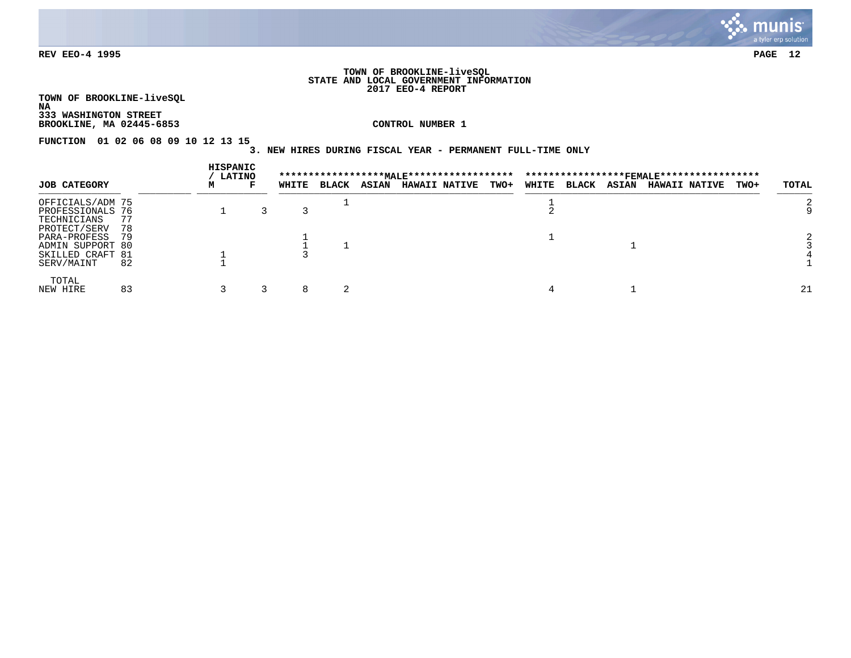

### **TOWN OF BROOKLINE-liveSQL STATE AND LOCAL GOVERNMENT INFORMATION 2017 EEO-4 REPORT**

**TOWN OF BROOKLINE-liveSQL NA 333 WASHINGTON STREET**

**BROOKLINE, MA 02445-6853 CONTROL NUMBER 1**

**FUNCTION 01 02 06 08 09 10 12 13 15** 

# **3. NEW HIRES DURING FISCAL YEAR - PERMANENT FULL-TIME ONLY**

|                     |    |   | HISPANIC<br><b>LATINO</b> |       |              |              |                      |             |       |              |              |                      |             |       |
|---------------------|----|---|---------------------------|-------|--------------|--------------|----------------------|-------------|-------|--------------|--------------|----------------------|-------------|-------|
| <b>JOB CATEGORY</b> |    | м | г                         | WHITE | <b>BLACK</b> | <b>ASIAN</b> | <b>HAWAII NATIVE</b> | <b>TWO+</b> | WHITE | <b>BLACK</b> | <b>ASIAN</b> | <b>HAWAII NATIVE</b> | <b>TWO+</b> | TOTAL |
| OFFICIALS/ADM 75    |    |   |                           |       |              |              |                      |             |       |              |              |                      |             |       |
| PROFESSIONALS 76    |    |   |                           |       |              |              |                      |             |       |              |              |                      |             |       |
| TECHNICIANS         | 77 |   |                           |       |              |              |                      |             |       |              |              |                      |             |       |
| PROTECT/SERV        | 78 |   |                           |       |              |              |                      |             |       |              |              |                      |             |       |
| PARA-PROFESS        | 79 |   |                           |       |              |              |                      |             |       |              |              |                      |             |       |
| ADMIN SUPPORT 80    |    |   |                           |       |              |              |                      |             |       |              |              |                      |             |       |
| SKILLED CRAFT 81    |    |   |                           |       |              |              |                      |             |       |              |              |                      |             |       |
| SERV/MAINT          | 82 |   |                           |       |              |              |                      |             |       |              |              |                      |             |       |
| TOTAL               |    |   |                           |       |              |              |                      |             |       |              |              |                      |             |       |
| NEW HIRE            | 83 |   |                           | 8     |              |              |                      |             |       |              |              |                      |             | 21    |